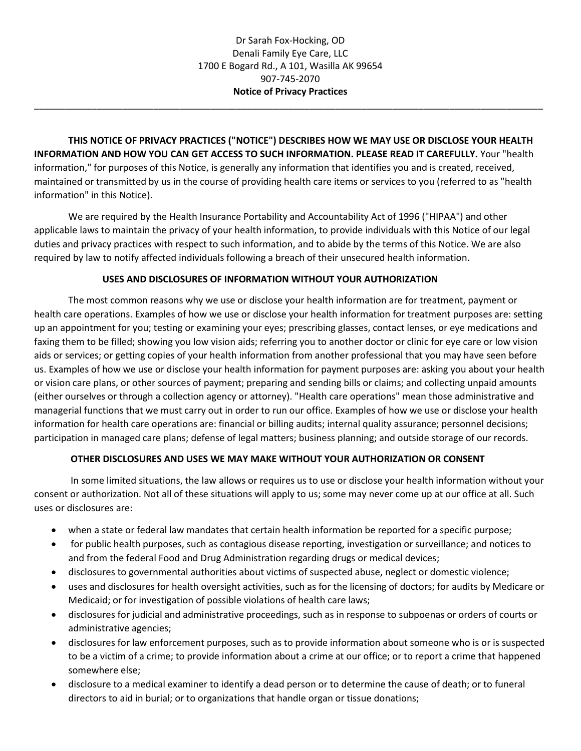\_\_\_\_\_\_\_\_\_\_\_\_\_\_\_\_\_\_\_\_\_\_\_\_\_\_\_\_\_\_\_\_\_\_\_\_\_\_\_\_\_\_\_\_\_\_\_\_\_\_\_\_\_\_\_\_\_\_\_\_\_\_\_\_\_\_\_\_\_\_\_\_\_\_\_\_\_\_\_\_\_\_\_\_\_\_\_\_\_\_\_\_\_\_\_\_\_\_

**THIS NOTICE OF PRIVACY PRACTICES ("NOTICE") DESCRIBES HOW WE MAY USE OR DISCLOSE YOUR HEALTH INFORMATION AND HOW YOU CAN GET ACCESS TO SUCH INFORMATION. PLEASE READ IT CAREFULLY.** Your "health information," for purposes of this Notice, is generally any information that identifies you and is created, received, maintained or transmitted by us in the course of providing health care items or services to you (referred to as "health information" in this Notice).

We are required by the Health Insurance Portability and Accountability Act of 1996 ("HIPAA") and other applicable laws to maintain the privacy of your health information, to provide individuals with this Notice of our legal duties and privacy practices with respect to such information, and to abide by the terms of this Notice. We are also required by law to notify affected individuals following a breach of their unsecured health information.

#### **USES AND DISCLOSURES OF INFORMATION WITHOUT YOUR AUTHORIZATION**

The most common reasons why we use or disclose your health information are for treatment, payment or health care operations. Examples of how we use or disclose your health information for treatment purposes are: setting up an appointment for you; testing or examining your eyes; prescribing glasses, contact lenses, or eye medications and faxing them to be filled; showing you low vision aids; referring you to another doctor or clinic for eye care or low vision aids or services; or getting copies of your health information from another professional that you may have seen before us. Examples of how we use or disclose your health information for payment purposes are: asking you about your health or vision care plans, or other sources of payment; preparing and sending bills or claims; and collecting unpaid amounts (either ourselves or through a collection agency or attorney). "Health care operations" mean those administrative and managerial functions that we must carry out in order to run our office. Examples of how we use or disclose your health information for health care operations are: financial or billing audits; internal quality assurance; personnel decisions; participation in managed care plans; defense of legal matters; business planning; and outside storage of our records.

#### **OTHER DISCLOSURES AND USES WE MAY MAKE WITHOUT YOUR AUTHORIZATION OR CONSENT**

In some limited situations, the law allows or requires us to use or disclose your health information without your consent or authorization. Not all of these situations will apply to us; some may never come up at our office at all. Such uses or disclosures are:

- when a state or federal law mandates that certain health information be reported for a specific purpose;
- for public health purposes, such as contagious disease reporting, investigation or surveillance; and notices to and from the federal Food and Drug Administration regarding drugs or medical devices;
- disclosures to governmental authorities about victims of suspected abuse, neglect or domestic violence;
- uses and disclosures for health oversight activities, such as for the licensing of doctors; for audits by Medicare or Medicaid; or for investigation of possible violations of health care laws;
- disclosures for judicial and administrative proceedings, such as in response to subpoenas or orders of courts or administrative agencies;
- disclosures for law enforcement purposes, such as to provide information about someone who is or is suspected to be a victim of a crime; to provide information about a crime at our office; or to report a crime that happened somewhere else;
- disclosure to a medical examiner to identify a dead person or to determine the cause of death; or to funeral directors to aid in burial; or to organizations that handle organ or tissue donations;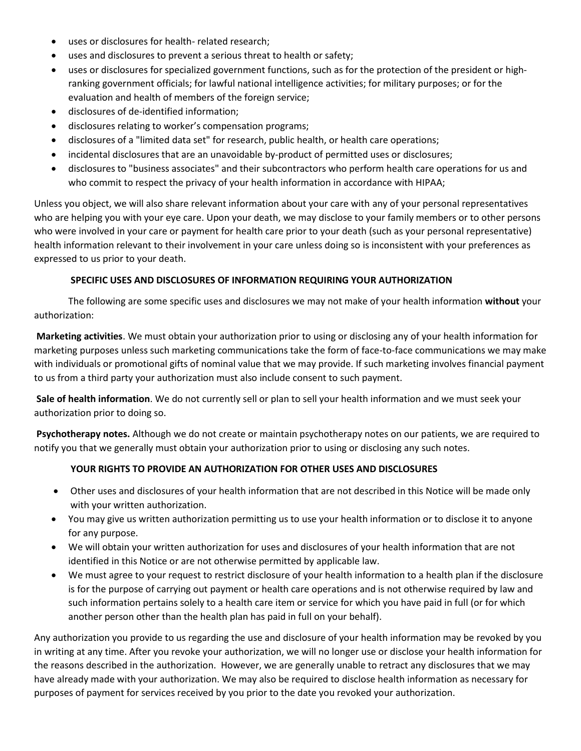- uses or disclosures for health- related research;
- uses and disclosures to prevent a serious threat to health or safety;
- uses or disclosures for specialized government functions, such as for the protection of the president or highranking government officials; for lawful national intelligence activities; for military purposes; or for the evaluation and health of members of the foreign service;
- disclosures of de-identified information;
- disclosures relating to worker's compensation programs;
- disclosures of a "limited data set" for research, public health, or health care operations;
- incidental disclosures that are an unavoidable by-product of permitted uses or disclosures;
- disclosures to "business associates" and their subcontractors who perform health care operations for us and who commit to respect the privacy of your health information in accordance with HIPAA;

Unless you object, we will also share relevant information about your care with any of your personal representatives who are helping you with your eye care. Upon your death, we may disclose to your family members or to other persons who were involved in your care or payment for health care prior to your death (such as your personal representative) health information relevant to their involvement in your care unless doing so is inconsistent with your preferences as expressed to us prior to your death.

#### **SPECIFIC USES AND DISCLOSURES OF INFORMATION REQUIRING YOUR AUTHORIZATION**

The following are some specific uses and disclosures we may not make of your health information **without** your authorization:

**Marketing activities**. We must obtain your authorization prior to using or disclosing any of your health information for marketing purposes unless such marketing communications take the form of face-to-face communications we may make with individuals or promotional gifts of nominal value that we may provide. If such marketing involves financial payment to us from a third party your authorization must also include consent to such payment.

**Sale of health information**. We do not currently sell or plan to sell your health information and we must seek your authorization prior to doing so.

**Psychotherapy notes.** Although we do not create or maintain psychotherapy notes on our patients, we are required to notify you that we generally must obtain your authorization prior to using or disclosing any such notes.

#### **YOUR RIGHTS TO PROVIDE AN AUTHORIZATION FOR OTHER USES AND DISCLOSURES**

- Other uses and disclosures of your health information that are not described in this Notice will be made only with your written authorization.
- You may give us written authorization permitting us to use your health information or to disclose it to anyone for any purpose.
- We will obtain your written authorization for uses and disclosures of your health information that are not identified in this Notice or are not otherwise permitted by applicable law.
- We must agree to your request to restrict disclosure of your health information to a health plan if the disclosure is for the purpose of carrying out payment or health care operations and is not otherwise required by law and such information pertains solely to a health care item or service for which you have paid in full (or for which another person other than the health plan has paid in full on your behalf).

Any authorization you provide to us regarding the use and disclosure of your health information may be revoked by you in writing at any time. After you revoke your authorization, we will no longer use or disclose your health information for the reasons described in the authorization. However, we are generally unable to retract any disclosures that we may have already made with your authorization. We may also be required to disclose health information as necessary for purposes of payment for services received by you prior to the date you revoked your authorization.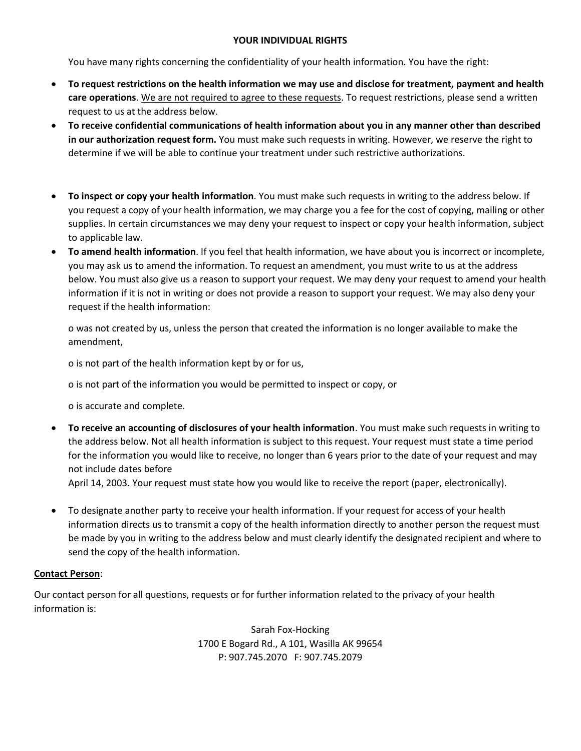#### **YOUR INDIVIDUAL RIGHTS**

You have many rights concerning the confidentiality of your health information. You have the right:

- **To request restrictions on the health information we may use and disclose for treatment, payment and health care operations**. We are not required to agree to these requests. To request restrictions, please send a written request to us at the address below.
- **To receive confidential communications of health information about you in any manner other than described in our authorization request form.** You must make such requests in writing. However, we reserve the right to determine if we will be able to continue your treatment under such restrictive authorizations.
- **To inspect or copy your health information**. You must make such requests in writing to the address below. If you request a copy of your health information, we may charge you a fee for the cost of copying, mailing or other supplies. In certain circumstances we may deny your request to inspect or copy your health information, subject to applicable law.
- **To amend health information**. If you feel that health information, we have about you is incorrect or incomplete, you may ask us to amend the information. To request an amendment, you must write to us at the address below. You must also give us a reason to support your request. We may deny your request to amend your health information if it is not in writing or does not provide a reason to support your request. We may also deny your request if the health information:

o was not created by us, unless the person that created the information is no longer available to make the amendment,

o is not part of the health information kept by or for us,

o is not part of the information you would be permitted to inspect or copy, or

o is accurate and complete.

• **To receive an accounting of disclosures of your health information**. You must make such requests in writing to the address below. Not all health information is subject to this request. Your request must state a time period for the information you would like to receive, no longer than 6 years prior to the date of your request and may not include dates before

April 14, 2003. Your request must state how you would like to receive the report (paper, electronically).

• To designate another party to receive your health information. If your request for access of your health information directs us to transmit a copy of the health information directly to another person the request must be made by you in writing to the address below and must clearly identify the designated recipient and where to send the copy of the health information.

## **Contact Person**:

Our contact person for all questions, requests or for further information related to the privacy of your health information is:

> Sarah Fox-Hocking 1700 E Bogard Rd., A 101, Wasilla AK 99654 P: 907.745.2070 F: 907.745.2079